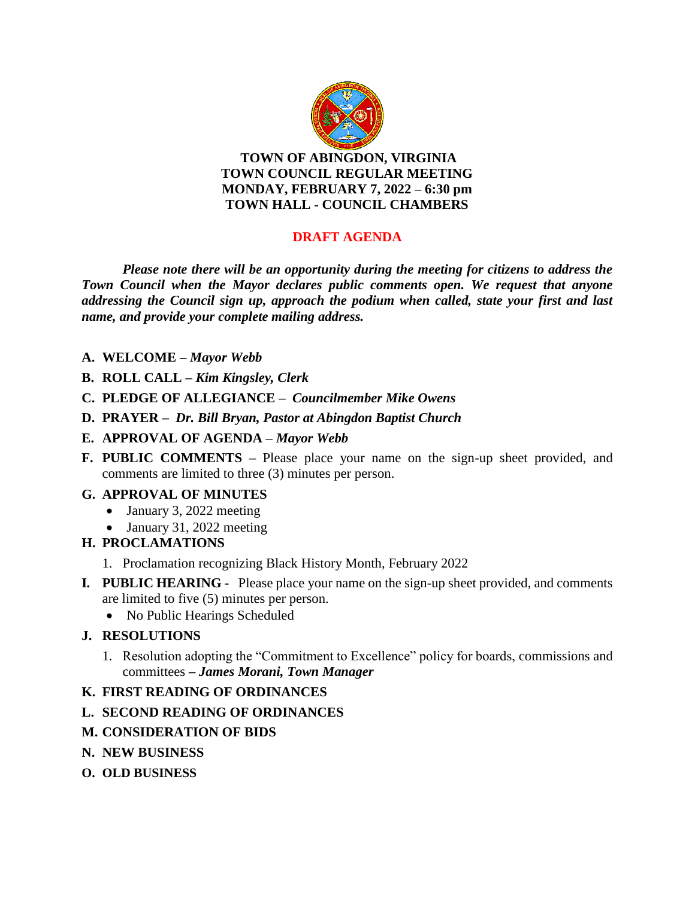

**TOWN OF ABINGDON, VIRGINIA TOWN COUNCIL REGULAR MEETING MONDAY, FEBRUARY 7, 2022 – 6:30 pm TOWN HALL - COUNCIL CHAMBERS**

# **DRAFT AGENDA**

*Please note there will be an opportunity during the meeting for citizens to address the Town Council when the Mayor declares public comments open. We request that anyone addressing the Council sign up, approach the podium when called, state your first and last name, and provide your complete mailing address.*

- **A. WELCOME –** *Mayor Webb*
- **B. ROLL CALL –** *Kim Kingsley, Clerk*
- **C. PLEDGE OF ALLEGIANCE –** *Councilmember Mike Owens*
- **D. PRAYER** *Dr. Bill Bryan, Pastor at Abingdon Baptist Church*
- **E. APPROVAL OF AGENDA –** *Mayor Webb*
- **F. PUBLIC COMMENTS –** Please place your name on the sign-up sheet provided, and comments are limited to three (3) minutes per person.

## **G. APPROVAL OF MINUTES**

- January 3, 2022 meeting
- January 31, 2022 meeting
- **H. PROCLAMATIONS**
	- 1. Proclamation recognizing Black History Month, February 2022
- **I***.* **PUBLIC HEARING** Please place your name on the sign-up sheet provided, and comments are limited to five (5) minutes per person.
	- No Public Hearings Scheduled

## **J. RESOLUTIONS**

1. Resolution adopting the "Commitment to Excellence" policy for boards, commissions and committees **–** *James Morani, Town Manager*

## **K. FIRST READING OF ORDINANCES**

- **L. SECOND READING OF ORDINANCES**
- **M. CONSIDERATION OF BIDS**
- **N. NEW BUSINESS**
- **O. OLD BUSINESS**